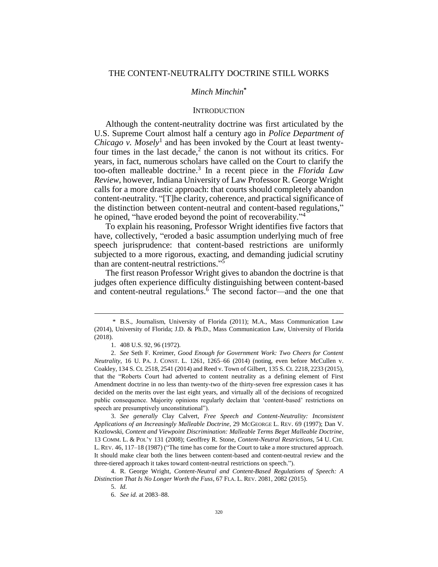## THE CONTENT-NEUTRALITY DOCTRINE STILL WORKS

# *Minch Minchin***\***

## <span id="page-0-2"></span><span id="page-0-1"></span><span id="page-0-0"></span>**INTRODUCTION**

Although the content-neutrality doctrine was first articulated by the U.S. Supreme Court almost half a century ago in *Police Department of Chicago v. Mosely*<sup>1</sup> and has been invoked by the Court at least twentyfour times in the last decade, $2$  the canon is not without its critics. For years, in fact, numerous scholars have called on the Court to clarify the too-often malleable doctrine.<sup>3</sup> In a recent piece in the *Florida Law Review*, however, Indiana University of Law Professor R. George Wright calls for a more drastic approach: that courts should completely abandon content-neutrality. "[T]he clarity, coherence, and practical significance of the distinction between content-neutral and content-based regulations," he opined, "have eroded beyond the point of recoverability."<sup>4</sup>

To explain his reasoning, Professor Wright identifies five factors that have, collectively, "eroded a basic assumption underlying much of free speech jurisprudence: that content-based restrictions are uniformly subjected to a more rigorous, exacting, and demanding judicial scrutiny than are content-neutral restrictions." 5

The first reason Professor Wright gives to abandon the doctrine is that judges often experience difficulty distinguishing between content-based and content-neutral regulations. $6$  The second factor—and the one that

<sup>\*</sup> B.S., Journalism, University of Florida (2011); M.A., Mass Communication Law (2014), University of Florida; J.D. & Ph.D., Mass Communication Law, University of Florida (2018).

<sup>1.</sup> 408 U.S. 92, 96 (1972).

<sup>2.</sup> *See* Seth F. Kreimer, *Good Enough for Government Work: Two Cheers for Content Neutrality*, 16 U. PA. J. CONST. L. 1261, 1265–66 (2014) (noting, even before McCullen v. Coakley, 134 S. Ct. 2518, 2541 (2014) and Reed v. Town of Gilbert, 135 S. Ct. 2218, 2233 (2015), that the "Roberts Court had adverted to content neutrality as a defining element of First Amendment doctrine in no less than twenty-two of the thirty-seven free expression cases it has decided on the merits over the last eight years, and virtually all of the decisions of recognized public consequence. Majority opinions regularly declaim that 'content-based' restrictions on speech are presumptively unconstitutional").

<sup>3.</sup> *See generally* Clay Calvert, *Free Speech and Content-Neutrality: Inconsistent Applications of an Increasingly Malleable Doctrine*, 29 MCGEORGE L. REV. 69 (1997); Dan V. Kozlowski, *Content and Viewpoint Discrimination: Malleable Terms Beget Malleable Doctrine*, 13 COMM. L. & POL'Y 131 (2008); Geoffrey R. Stone, *Content-Neutral Restrictions*, 54 U. CHI. L. REV. 46, 117–18 (1987) ("The time has come for the Court to take a more structured approach. It should make clear both the lines between content-based and content-neutral review and the three-tiered approach it takes toward content-neutral restrictions on speech.").

<sup>4.</sup> R. George Wright, *Content-Neutral and Content-Based Regulations of Speech: A Distinction That Is No Longer Worth the Fuss*, 67 FLA. L. REV. 2081, 2082 (2015).

<sup>5.</sup> *Id.*

<sup>6.</sup> *See id.* at 2083–88.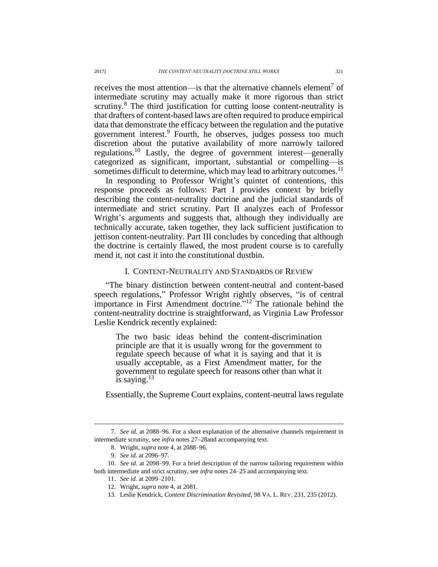receives the most attention—is that the alternative channels element<sup>7</sup> of intermediate scrutiny may actually make it more rigorous than strict scrutiny.<sup>8</sup> The third justification for cutting loose content-neutrality is that drafters of content-based laws are often required to produce empirical data that demonstrate the efficacy between the regulation and the putative government interest.<sup>9</sup> Fourth, he observes, judges possess too much discretion about the putative availability of more narrowly tailored regulations.<sup>10</sup> Lastly, the degree of government interest—generally categorized as significant, important, substantial or compelling—is sometimes difficult to determine, which may lead to arbitrary outcomes.<sup>11</sup>

In responding to Professor Wright's quintet of contentions, this response proceeds as follows: Part I provides context by briefly describing the content-neutrality doctrine and the judicial standards of intermediate and strict scrutiny. Part II analyzes each of Professor Wright's arguments and suggests that, although they individually are technically accurate, taken together, they lack sufficient justification to jettison content-neutrality. Part III concludes by conceding that although the doctrine is certainly flawed, the most prudent course is to carefully mend it, not cast it into the constitutional dustbin.

## I. CONTENT-NEUTRALITY AND STANDARDS OF REVIEW

"The binary distinction between content-neutral and content-based speech regulations," Professor Wright rightly observes, "is of central importance in First Amendment doctrine."<sup>12</sup> The rationale behind the content-neutrality doctrine is straightforward, as Virginia Law Professor Leslie Kendrick recently explained:

The two basic ideas behind the content-discrimination principle are that it is usually wrong for the government to regulate speech because of what it is saying and that it is usually acceptable, as a First Amendment matter, for the government to regulate speech for reasons other than what it is saying. $13$ 

Essentially, the Supreme Court explains, content-neutral laws regulate

<sup>7.</sup> *See id.* at 2088–96. For a short explanation of the alternative channels requirement in intermediate scrutiny, see *infra* note[s 27](#page-3-0)[–28a](#page-3-1)nd accompanying text.

<sup>8.</sup> Wright, *supra* not[e 4,](#page-0-0) at 2088–96.

<sup>9.</sup> *See id.* at 2096–97.

<sup>10.</sup> *See id.* at 2098–99. For a brief description of the narrow tailoring requirement within both intermediate and strict scrutiny, see *infra* notes [24](#page-2-0)[–25](#page-3-2) and accompanying text.

<sup>11.</sup> *See id.* at 2099–2101.

<sup>12.</sup> Wright, *supra* not[e 4,](#page-0-0) at 2081.

<sup>13.</sup> Leslie Kendrick, *Content Discrimination Revisited*, 98 VA. L. REV. 231, 235 (2012).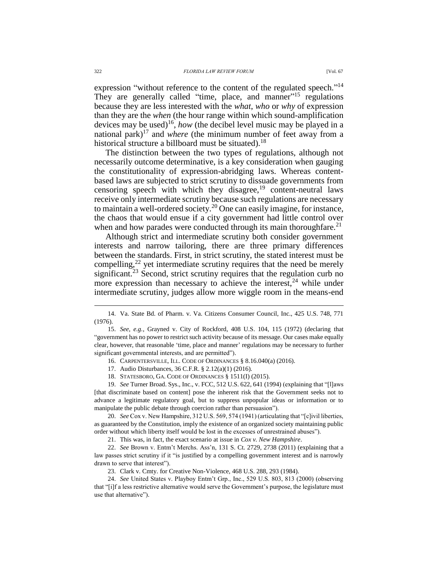expression "without reference to the content of the regulated speech."<sup>14</sup> They are generally called "time, place, and manner"<sup>15</sup> regulations because they are less interested with the *what*, *who* or *why* of expression than they are the *when* (the hour range within which sound-amplification devices may be used) 16 , *how* (the decibel level music may be played in a national park) <sup>17</sup> and *where* (the minimum number of feet away from a historical structure a billboard must be situated).<sup>18</sup>

The distinction between the two types of regulations, although not necessarily outcome determinative, is a key consideration when gauging the constitutionality of expression-abridging laws. Whereas contentbased laws are subjected to strict scrutiny to dissuade governments from censoring speech with which they disagree,  $19$  content-neutral laws receive only intermediate scrutiny because such regulations are necessary to maintain a well-ordered society.<sup>20</sup> One can easily imagine, for instance, the chaos that would ensue if a city government had little control over when and how parades were conducted through its main thoroughfare.<sup>21</sup>

Although strict and intermediate scrutiny both consider government interests and narrow tailoring, there are three primary differences between the standards. First, in strict scrutiny, the stated interest must be compelling,<sup>22</sup> yet intermediate scrutiny requires that the need be merely significant.<sup>23</sup> Second, strict scrutiny requires that the regulation curb no more expression than necessary to achieve the interest,  $24$  while under intermediate scrutiny, judges allow more wiggle room in the means-end

17. Audio Disturbances, 36 C.F.R. § 2.12(a)(1) (2016).

19. *See* Turner Broad. Sys., Inc., v. FCC, 512 U.S. 622, 641 (1994) (explaining that "[l]aws [that discriminate based on content] pose the inherent risk that the Government seeks not to advance a legitimate regulatory goal, but to suppress unpopular ideas or information or to manipulate the public debate through coercion rather than persuasion").

20. *See* Cox v. New Hampshire, 312 U.S. 569, 574 (1941) (articulating that "[c]ivil liberties, as guaranteed by the Constitution, imply the existence of an organized society maintaining public order without which liberty itself would be lost in the excesses of unrestrained abuses").

21. This was, in fact, the exact scenario at issue in *Cox v. New Hampshire*.

22. *See* Brown v. Entm't Merchs. Ass'n, 131 S. Ct. 2729, 2738 (2011) (explaining that a law passes strict scrutiny if it "is justified by a compelling government interest and is narrowly drawn to serve that interest").

23. Clark v. Cmty. for Creative Non-Violence, 468 U.S. 288, 293 (1984).

24. *See* United States v. Playboy Entm't Grp., Inc., 529 U.S. 803, 813 (2000) (observing that "[i]f a less restrictive alternative would serve the Government's purpose, the legislature must use that alternative").

<sup>14.</sup> Va. State Bd. of Pharm. v. Va. Citizens Consumer Council, Inc., 425 U.S. 748, 771 (1976).

<sup>15.</sup> *See, e.g.*, Grayned v. City of Rockford, 408 U.S. 104, 115 (1972) (declaring that "government has no power to restrict such activity because of its message. Our cases make equally clear, however, that reasonable 'time, place and manner' regulations may be necessary to further significant governmental interests, and are permitted").

<span id="page-2-0"></span><sup>16.</sup> CARPENTERSVILLE, ILL. CODE OF ORDINANCES § 8.16.040(a) (2016).

<sup>18.</sup> STATESBORO, GA. CODE OF ORDINANCES § 1511(I) (2015).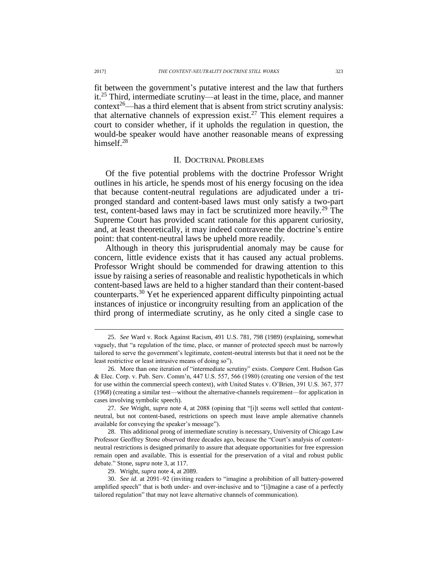<span id="page-3-2"></span>fit between the government's putative interest and the law that furthers it.<sup>25</sup> Third, intermediate scrutiny—at least in the time, place, and manner  $context^{26}$ —has a third element that is absent from strict scrutiny analysis: that alternative channels of expression exist.<sup>27</sup> This element requires a court to consider whether, if it upholds the regulation in question, the would-be speaker would have another reasonable means of expressing himself.<sup>28</sup>

#### <span id="page-3-0"></span>II. DOCTRINAL PROBLEMS

<span id="page-3-1"></span>Of the five potential problems with the doctrine Professor Wright outlines in his article, he spends most of his energy focusing on the idea that because content-neutral regulations are adjudicated under a tripronged standard and content-based laws must only satisfy a two-part test, content-based laws may in fact be scrutinized more heavily.<sup>29</sup> The Supreme Court has provided scant rationale for this apparent curiosity, and, at least theoretically, it may indeed contravene the doctrine's entire point: that content-neutral laws be upheld more readily.

Although in theory this jurisprudential anomaly may be cause for concern, little evidence exists that it has caused any actual problems. Professor Wright should be commended for drawing attention to this issue by raising a series of reasonable and realistic hypotheticals in which content-based laws are held to a higher standard than their content-based counterparts.<sup>30</sup> Yet he experienced apparent difficulty pinpointing actual instances of injustice or incongruity resulting from an application of the third prong of intermediate scrutiny, as he only cited a single case to

<sup>25.</sup> *See* Ward v. Rock Against Racism, 491 U.S. 781, 798 (1989) (explaining, somewhat vaguely, that "a regulation of the time, place, or manner of protected speech must be narrowly tailored to serve the government's legitimate, content-neutral interests but that it need not be the least restrictive or least intrusive means of doing so").

<sup>26.</sup> More than one iteration of "intermediate scrutiny" exists. *Compare* Cent. Hudson Gas & Elec. Corp. v. Pub. Serv. Comm'n, 447 U.S. 557, 566 (1980) (creating one version of the test for use within the commercial speech context), *with* United States v. O'Brien, 391 U.S. 367, 377 (1968) (creating a similar test—without the alternative-channels requirement—for application in cases involving symbolic speech).

<sup>27.</sup> *See* Wright, *supra* note [4,](#page-0-0) at 2088 (opining that "[i]t seems well settled that contentneutral, but not content-based, restrictions on speech must leave ample alternative channels available for conveying the speaker's message").

<sup>28.</sup> This additional prong of intermediate scrutiny is necessary, University of Chicago Law Professor Geoffrey Stone observed three decades ago, because the "Court's analysis of contentneutral restrictions is designed primarily to assure that adequate opportunities for free expression remain open and available. This is essential for the preservation of a vital and robust public debate." Stone, *supra* not[e 3,](#page-0-1) at 117.

<sup>29.</sup> Wright, *supra* not[e 4,](#page-0-0) at 2089.

<sup>30.</sup> *See id*. at 2091–92 (inviting readers to "imagine a prohibition of all battery-powered amplified speech" that is both under- and over-inclusive and to "[i]magine a case of a perfectly tailored regulation" that may not leave alternative channels of communication).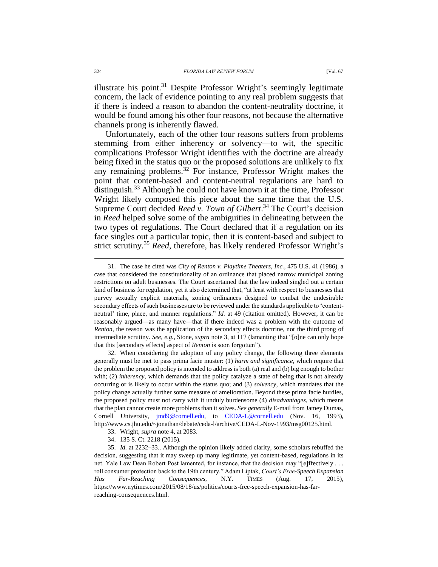illustrate his point.<sup>31</sup> Despite Professor Wright's seemingly legitimate concern, the lack of evidence pointing to any real problem suggests that if there is indeed a reason to abandon the content-neutrality doctrine, it would be found among his other four reasons, not because the alternative channels prong is inherently flawed.

Unfortunately, each of the other four reasons suffers from problems stemming from either inherency or solvency—to wit, the specific complications Professor Wright identifies with the doctrine are already being fixed in the status quo or the proposed solutions are unlikely to fix any remaining problems.<sup>32</sup> For instance, Professor Wright makes the point that content-based and content-neutral regulations are hard to distinguish.<sup>33</sup> Although he could not have known it at the time, Professor Wright likely composed this piece about the same time that the U.S. Supreme Court decided *Reed v. Town of Gilbert*. <sup>34</sup> The Court's decision in *Reed* helped solve some of the ambiguities in delineating between the two types of regulations. The Court declared that if a regulation on its face singles out a particular topic, then it is content-based and subject to strict scrutiny.<sup>35</sup> *Reed*, therefore, has likely rendered Professor Wright's

32. When considering the adoption of any policy change, the following three elements generally must be met to pass prima facie muster: (1) *harm and significance*, which require that the problem the proposed policy is intended to address is both (a) real and (b) big enough to bother with; (2) *inherency*, which demands that the policy catalyze a state of being that is not already occurring or is likely to occur within the status quo; and (3) *solvency*, which mandates that the policy change actually further some measure of amelioration. Beyond these prima facie hurdles, the proposed policy must not carry with it unduly burdensome (4) *disadvantages*, which means that the plan cannot create more problems than it solves. *See generally* E-mail from Jamey Dumas, Cornell University, [jmd9@cornell.edu,](mailto:jmd9@cornell.edu) to [CEDA-L@cornell.edu](mailto:CEDA-L@cornell.edu) (Nov. 16, 1993), http://www.cs.jhu.edu/~jonathan/debate/ceda-l/archive/CEDA-L-Nov-1993/msg00125.html.

- 33. Wright, *supra* not[e 4,](#page-0-0) at 2083.
- 34. 135 S. Ct. 2218 (2015).

<sup>31.</sup> The case he cited was *City of Renton v. Playtime Theaters*, *Inc.*, 475 U.S. 41 (1986), a case that considered the constitutionality of an ordinance that placed narrow municipal zoning restrictions on adult businesses. The Court ascertained that the law indeed singled out a certain kind of business for regulation, yet it also determined that, "at least with respect to businesses that purvey sexually explicit materials, zoning ordinances designed to combat the undesirable secondary effects of such businesses are to be reviewed under the standards applicable to 'contentneutral' time, place, and manner regulations." *Id.* at 49 (citation omitted). However, it can be reasonably argued—as many have—that if there indeed was a problem with the outcome of *Renton*, the reason was the application of the secondary effects doctrine, not the third prong of intermediate scrutiny. *See*, *e.g.*, Stone, *supra* note [3,](#page-0-1) at 117 (lamenting that "[o]ne can only hope that this [secondary effects] aspect of *Renton* is soon forgotten").

<sup>35.</sup> *Id.* at 2232–33.. Although the opinion likely added clarity, some scholars rebuffed the decision, suggesting that it may sweep up many legitimate, yet content-based, regulations in its net. Yale Law Dean Robert Post lamented, for instance, that the decision may "[e]ffectively . . . roll consumer protection back to the 19th century." Adam Liptak, *Court's Free-Speech Expansion Has Far-Reaching Consequences*, N.Y. TIMES (Aug. 17, 2015), https://www.nytimes.com/2015/08/18/us/politics/courts-free-speech-expansion-has-farreaching-consequences.html.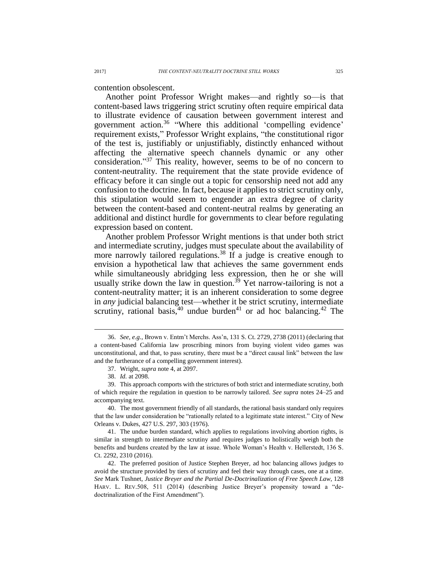contention obsolescent.

Another point Professor Wright makes—and rightly so—is that content-based laws triggering strict scrutiny often require empirical data to illustrate evidence of causation between government interest and government action.<sup>36</sup> "Where this additional 'compelling evidence' requirement exists," Professor Wright explains, "the constitutional rigor of the test is, justifiably or unjustifiably, distinctly enhanced without affecting the alternative speech channels dynamic or any other consideration." <sup>37</sup> This reality, however, seems to be of no concern to content-neutrality. The requirement that the state provide evidence of efficacy before it can single out a topic for censorship need not add any confusion to the doctrine. In fact, because it applies to strict scrutiny only, this stipulation would seem to engender an extra degree of clarity between the content-based and content-neutral realms by generating an additional and distinct hurdle for governments to clear before regulating expression based on content.

Another problem Professor Wright mentions is that under both strict and intermediate scrutiny, judges must speculate about the availability of more narrowly tailored regulations.<sup>38</sup> If a judge is creative enough to envision a hypothetical law that achieves the same government ends while simultaneously abridging less expression, then he or she will usually strike down the law in question.<sup>39</sup> Yet narrow-tailoring is not a content-neutrality matter; it is an inherent consideration to some degree in *any* judicial balancing test—whether it be strict scrutiny, intermediate scrutiny, rational basis,  $40$  undue burden<sup>41</sup> or ad hoc balancing.<sup>42</sup> The

<sup>36.</sup> *See, e.g.*, Brown v. Entm't Merchs. Ass'n, 131 S. Ct. 2729, 2738 (2011) (declaring that a content-based California law proscribing minors from buying violent video games was unconstitutional, and that, to pass scrutiny, there must be a "direct causal link" between the law and the furtherance of a compelling government interest).

<sup>37.</sup> Wright, *supra* not[e 4,](#page-0-0) at 2097.

<sup>38.</sup> *Id.* at 2098.

<sup>39.</sup> This approach comports with the strictures of both strict and intermediate scrutiny, both of which require the regulation in question to be narrowly tailored. *See supra* notes [24](#page-2-0)[–25](#page-3-2) and accompanying text.

<sup>40.</sup> The most government friendly of all standards, the rational basis standard only requires that the law under consideration be "rationally related to a legitimate state interest." City of New Orleans v. Dukes, 427 U.S. 297, 303 (1976).

<sup>41.</sup> The undue burden standard, which applies to regulations involving abortion rights, is similar in strength to intermediate scrutiny and requires judges to holistically weigh both the benefits and burdens created by the law at issue. Whole Woman's Health v. Hellerstedt, 136 S. Ct. 2292, 2310 (2016).

<sup>42.</sup> The preferred position of Justice Stephen Breyer, ad hoc balancing allows judges to avoid the structure provided by tiers of scrutiny and feel their way through cases, one at a time. *See* Mark Tushnet, *Justice Breyer and the Partial De-Doctrinalization of Free Speech Law*, 128 HARV. L. REV.508, 511 (2014) (describing Justice Breyer's propensity toward a "dedoctrinalization of the First Amendment").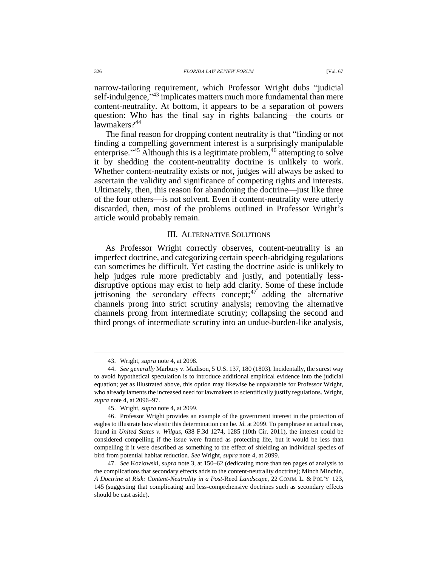narrow-tailoring requirement, which Professor Wright dubs "judicial self-indulgence,"<sup>43</sup> implicates matters much more fundamental than mere content-neutrality. At bottom, it appears to be a separation of powers question: Who has the final say in rights balancing—the courts or lawmakers?<sup>44</sup>

The final reason for dropping content neutrality is that "finding or not finding a compelling government interest is a surprisingly manipulable enterprise."<sup>45</sup> Although this is a legitimate problem,<sup>46</sup> attempting to solve it by shedding the content-neutrality doctrine is unlikely to work. Whether content-neutrality exists or not, judges will always be asked to ascertain the validity and significance of competing rights and interests. Ultimately, then, this reason for abandoning the doctrine—just like three of the four others—is not solvent. Even if content-neutrality were utterly discarded, then, most of the problems outlined in Professor Wright's article would probably remain.

## III. ALTERNATIVE SOLUTIONS

As Professor Wright correctly observes, content-neutrality is an imperfect doctrine, and categorizing certain speech-abridging regulations can sometimes be difficult. Yet casting the doctrine aside is unlikely to help judges rule more predictably and justly, and potentially lessdisruptive options may exist to help add clarity. Some of these include jettisoning the secondary effects concept;<sup>47</sup> adding the alternative channels prong into strict scrutiny analysis; removing the alternative channels prong from intermediate scrutiny; collapsing the second and third prongs of intermediate scrutiny into an undue-burden-like analysis,

<sup>43.</sup> Wright, *supra* not[e 4,](#page-0-0) at 2098.

<sup>44.</sup> *See generally* Marbury v. Madison, 5 U.S. 137, 180 (1803). Incidentally, the surest way to avoid hypothetical speculation is to introduce additional empirical evidence into the judicial equation; yet as illustrated above, this option may likewise be unpalatable for Professor Wright, who already laments the increased need for lawmakers to scientifically justify regulations. Wright, *supra* not[e 4,](#page-0-0) at 2096–97.

<sup>45.</sup> Wright, *supra* not[e 4,](#page-0-0) at 2099.

<sup>46.</sup> Professor Wright provides an example of the government interest in the protection of eagles to illustrate how elastic this determination can be. *Id.* at 2099. To paraphrase an actual case, found in *United States v. Wilgus*, 638 F.3d 1274, 1285 (10th Cir. 2011), the interest could be considered compelling if the issue were framed as protecting life, but it would be less than compelling if it were described as something to the effect of shielding an individual species of bird from potential habitat reduction. *See* Wright, *supra* not[e 4,](#page-0-0) at 2099.

<sup>47.</sup> *See* Kozlowski, *supra* note [3,](#page-0-1) at 150–62 (dedicating more than ten pages of analysis to the complications that secondary effects adds to the content-neutrality doctrine); Minch Minchin, *A Doctrine at Risk: Content-Neutrality in a Post-*Reed *Landscape,* 22 COMM. L. & POL'Y 123, 145 (suggesting that complicating and less-comprehensive doctrines such as secondary effects should be cast aside).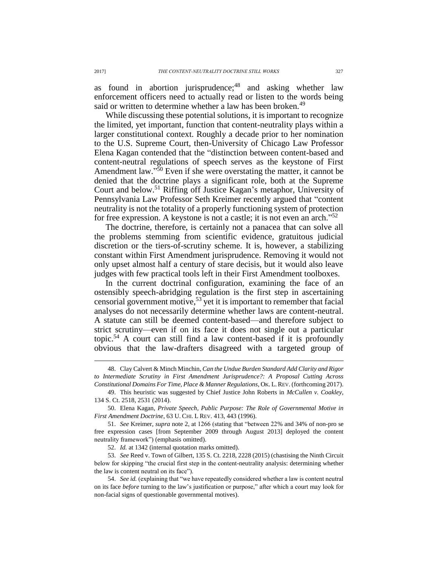as found in abortion jurisprudence;<sup>48</sup> and asking whether law enforcement officers need to actually read or listen to the words being said or written to determine whether a law has been broken.<sup>49</sup>

While discussing these potential solutions, it is important to recognize the limited, yet important, function that content-neutrality plays within a larger constitutional context. Roughly a decade prior to her nomination to the U.S. Supreme Court, then-University of Chicago Law Professor Elena Kagan contended that the "distinction between content-based and content-neutral regulations of speech serves as the keystone of First Amendment law."<sup>50</sup> Even if she were overstating the matter, it cannot be denied that the doctrine plays a significant role, both at the Supreme Court and below.<sup>51</sup> Riffing off Justice Kagan's metaphor, University of Pennsylvania Law Professor Seth Kreimer recently argued that "content neutrality is not the totality of a properly functioning system of protection for free expression. A keystone is not a castle; it is not even an arch." 52

The doctrine, therefore, is certainly not a panacea that can solve all the problems stemming from scientific evidence, gratuitous judicial discretion or the tiers-of-scrutiny scheme. It is, however, a stabilizing constant within First Amendment jurisprudence. Removing it would not only upset almost half a century of stare decisis, but it would also leave judges with few practical tools left in their First Amendment toolboxes.

In the current doctrinal configuration, examining the face of an ostensibly speech-abridging regulation is the first step in ascertaining censorial government motive,<sup>53</sup> yet it is important to remember that facial analyses do not necessarily determine whether laws are content-neutral. A statute can still be deemed content-based—and therefore subject to strict scrutiny—even if on its face it does not single out a particular topic.<sup>54</sup> A court can still find a law content-based if it is profoundly obvious that the law-drafters disagreed with a targeted group of

<sup>48.</sup> Clay Calvert & Minch Minchin, *Can the Undue Burden Standard Add Clarity and Rigor to Intermediate Scrutiny in First Amendment Jurisprudence?: A Proposal Cutting Across Constitutional Domains For Time, Place & Manner Regulations*, OK. L.REV. (forthcoming 2017).

<sup>49.</sup> This heuristic was suggested by Chief Justice John Roberts in *McCullen v. Coakley*, 134 S. Ct. 2518, 2531 (2014).

<sup>50.</sup> Elena Kagan, *Private Speech, Public Purpose: The Role of Governmental Motive in First Amendment Doctrine*, 63 U. CHI. L REV. 413, 443 (1996).

<sup>51.</sup> *See* Kreimer, *supra* note [2,](#page-0-2) at 1266 (stating that "between 22% and 34% of non-pro se free expression cases [from September 2009 through August 2013] deployed the content neutrality framework") (emphasis omitted).

<sup>52.</sup> *Id.* at 1342 (internal quotation marks omitted).

<sup>53.</sup> *See* Reed v. Town of Gilbert, 135 S. Ct. 2218, 2228 (2015) (chastising the Ninth Circuit below for skipping "the crucial first step in the content-neutrality analysis: determining whether the law is content neutral on its face").

<sup>54.</sup> *See id.* (explaining that "we have repeatedly considered whether a law is content neutral on its face *before* turning to the law's justification or purpose," after which a court may look for non-facial signs of questionable governmental motives).